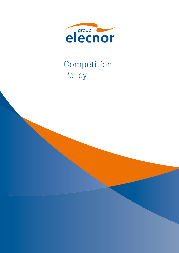

# Competition Policy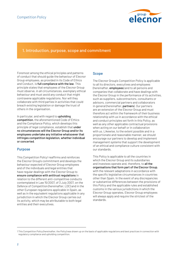

## 1. Introduction, purpose, scope and commitment

Foremost among the ethical principles and patterns of conduct that should guide the behaviour of Elecnor Group employees, as provided in its Code of Ethics and Conduct, is full compliance with the law. This principle states that employees of the Elecnor Group must observe, in all circumstances, exemplary ethical behaviour and must avoid any conduct that might contravene applicable regulations. Nor will they collaborate with third parties in activities that could breach existing legislation or damage the trust of others in the organisation.

In particular, and with regard to upholding competition, the aforementioned Code of Ethics and the Compliance Policy, which develops this principle of legal compliance, establish that under no circumstances will the Elecnor Group and/or its employees undertake any initiative whatsoever that infringes competition legislation, whether individual or concerted.

## Purpose

This Competition Policy<sup>1</sup> reaffirms and reinforces the Elecnor Group's commitment and develops the behaviour expected of Elecnor Group employees and of the individuals and legal entities that have regular dealings with the Elecnor Group to ensure compliance with antitrust regulations in relation to the different anti-competitive conducts contemplated in Law 15/2007, of 3 July 2007, on the Defence of Competition (hereinafter, LDC) and in the other European regulations applicable in Spain, as well as in the equivalent regulations applicable in any jurisdiction in which the Elecnor Group carries out its activity, which may be attributable to both legal entities and their executives.

## Scope

The Elecnor Group's Competition Policy is applicable to all its directors, executives and employees (hereinafter, **employees**) and to all persons and companies that collaborate and have dealings with the Elecnor Group in the performance of its activities, such as suppliers, subcontractors, consultants or advisors, commercial partners and collaborators in general (hereinafter, **partners**). Our partners are an extension of the Elecnor Group and must therefore act within the framework of their business relationship with us in accordance with the ethical and conduct principles set forth in this Policy, as well as any other applicable contractual provisions when acting on our behalf or in collaboration with us. Likewise, to the extent possible and in a proportionate and reasonable manner, we should encourage our partners to develop and implement management systems that support the development of an ethical and compliance culture consistent with our standards.

This Policy is applicable to all the countries in which the Elecnor Group and its subsidiaries and investees operate and, therefore, to all the organisations that form part of the Elecnor Group, with the relevant adaptations in accordance with the specific legislative circumstances in countries other than Spain. In the event of any discrepancies or substantive differences between the provisions of this Policy and the applicable rules and established customs in the various jurisdictions in which the Elecnor Group operates, Elecnor Group employees will always apply and require the strictest of the standards.

<sup>1</sup> This Competition Policy (hereinafter, the *Policy*) was drawn up on the basis of applicable regulations and best practices in connection with regulatory compliance and upholding competition.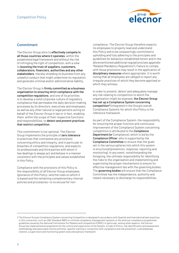

## Commitment

The Elecnor Group aims to effectively compete in all those countries where it operates, within the established legal framework and without the risk of infringing the right of competition, with a view to boosting the trust of suppliers, customers, collaborators, financiers, authorities and any other stakeholders, thereby shielding its business from any unlawful conduct that might undermine its reputation and generate criminal and/or administrative liability.

The Elecnor Group is firmly committed as a business organisation to ensuring strict compliance with the competition regulations, and one of its priorities is to develop a solid corporate culture of regulatory compliance that permeates the daily decision-making processes by its directors, executives and employees, as well as any other natural or legal persons acting on behalf of the Elecnor Group in law or in fact, enabling them, within the scope of their respective functions and responsibilities, to detect and prevent practices that restrict competition.

This commitment is not optional. The Elecnor Group implements the principle of zero tolerance to practices that contravene any provisions concerning ethics and integrity, and in particular to breaches of competition regulations, and expects its professionals and third parties with whom it has dealings to always act and behave in a manner consistent with the principles and values established in this Policy.

Compliance with the provisions of this Policy is the responsibility of all Elecnor Group employees. Ignorance of this Policy—and the rules on which it is based and the remaining complementary internal policies and procedures—is no excuse for non-

compliance. The Elecnor Group therefore expects its employees to properly read and understand this Policy and to be unwaveringly committed to upholding and fully adhering to the principles and guidelines for behaviour established herein and in the aforementioned additional regulations (see appendix "Related Mandatory Regulations"). Failure to comply with those provisions may result in the application of disciplinary measures where appropriate. It is worth noting that all employees are obliged to report any irregular practices of which they become apprised or which they witness.

In order to prevent, detect and adequately manage any risk relating to competition to which the organisation might be exposed, the Elecnor Group has set up a Compliance System concerning competition2 (integrated in the Group's overall Compliance System), for which this Policy is the reference framework.

As part of the Compliance System, the responsibility for ensuring the proper function and continuous improvement of the Compliance System concerning competition is attributed to the *Compliance Department (or* Compliance), which is led by the *Compliance Officer*, who is supported by the Compliance Committee to ensure that the goals set in the various spheres into which this system is structured (prevention, response, reporting and monitoring). In any event, notwithstanding the foregoing, the ultimate responsibility for identifying the risks to the organisation and implementing and supervising the proper mechanisms to ensure its effective management lies with the governing bodies. The governing bodies will ensure that the Compliance Committee has the independence, authority and means necessary to discharge its responsibilities.

<sup>2</sup> The Elecnor Group's Compliance System concerning Competition is designed in accordance with Spanish and international best practices in this connection, such as UNE Standard 19601 on criminal compliance management systems or the antitrust compliance programmes guidelines issued by the National Commission for Markets and Competition (CNMC). In particular, among other aspects, the Elecnor Group has implemented arrangements for the control and supervision of the System, a Code of Ethics, risk identification and assessment methodology and associated control activities, specific training in connection with compliance and risk prevention, a whistleblower channel, a supervision and monitoring system and a disciplinary framework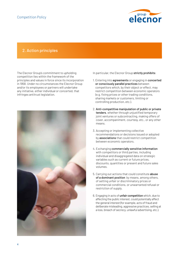

## 2. Action principles

The Elecnor Group's commitment to upholding competition lies within the framework of the principles and values in force since its incorporation in 1958. Under no circumstances the Elecnor Group and/or its employees or partners will undertake any initiative, either individual or concerted, that infringes antitrust legislation.



In particular, the Elecnor Group strictly prohibits:

- 1. Entering into agreements or engaging in concerted or consciously parallel practices between competitors which, by their object or effect, may restrict competition between economic operators (e.g. fixing prices or other trading conditions, sharing markets or customers, limiting or controlling production, etc.).
- 2. Anti-competitive manipulation of public or private tenders, whether through unjustified temporary joint ventures or subcontracting, making offers of cover, accompaniment, courtesy, etc., or any other means.
- 3. Accepting or implementing collective recommendations or decisions issued or adopted by associations that could restrict competition between economic operators.
- 4. Exchanging commercially sensitive information with competitors or third parties, including individual and disaggregated data on strategic variables such as current or future prices, discounts, quantities or present and future sales volumes.
- 5. Carrying out actions that could constitute abuse of a dominant position by means, among others, of setting unfair or discriminatory prices or commercial conditions, or unwarranted refusal or restriction of supply.
- 6. Engaging in acts of unfair competition which, due to affecting the public interest, could potentially affect the general interest (for example, acts of fraud and deliberate misleading, aggressive practices, selling at a loss, breach of secrecy, unlawful advertising, etc.).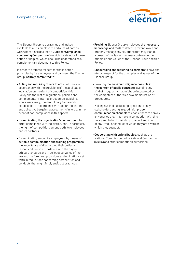

The Elecnor Group has drawn up and makes available to all its employees and all third parties with whom it has dealings a Guide for Compliance concerning Competition in which it sets out all these action principles, which should be understood as a complementary document to this Policy.

In order to promote respect for these action principles by its employees and partners, the Elecnor Group is firmly committed to:

- Acting and requiring others to act at all times in accordance with the provisions of the applicable legislation on the right of competition, this Policy and the rest of regulations, policies and complementary internal procedures, applying, where necessary, the disciplinary framework established, in accordance with labour regulations and collective bargaining agreements in force, in the event of non-compliance in this sphere.
- Disseminating the organisation's commitment to strict compliance with legislation, and, in particular, the right of competition, among both its employees and its partners.
- Disseminating among its employees, by means of suitable communication and training programmes, the importance of discharging their duties and responsibilities in accordance with the highest ethical standards and in strict observance of the law and the foremost provisions and obligations set forth in regulations concerning competition and conducts that might imply antitrust practices.
- Providing Elecnor Group employees the necessary knowledge and tools to detect, prevent, avoid and properly manage any situations that may lead to a breach of the law or that may contravene the principles and values of the Elecnor Group and this Policy.
- Encouraging and requiring its partners to have the utmost respect for the principles and values of the Elecnor Group.
- Ensuring the maximum diligence possible in the context of public contracts, avoiding any kind of irregularity that might be interpreted by the competent authorities as a manipulation of procedures.
- Making available to its employees and of any stakeholders acting in good faith **proper** communication channels to enable them to convey any queries they may have in connection with this Policy and to fulfil their duty to report and inform of any irregular conduct of which they are aware or which they suspect.
- Cooperating with official bodies, such as the National Commission on Markets and Competition (CNMC) and other competition authorities.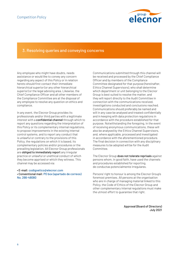

## 3. Resolving queries and conveying concerns

Any employee who might have doubts, needs assistance or would like to convey any concern regarding any aspect of this Policy or in relation hereto should first contact their immediate hierarchical superior (or any other hierarchical superior) or the legal advising area. Likewise, the Chief Compliance Officer and all other members of the Compliance Committee are at the disposal of any employee to resolve any question on ethics and compliance.

In any event, the Elecnor Group provides its professionals and/or third parties with a legitimate interest with a confidential channel through which to report any questions regarding the interpretation of this Policy or its complementary internal regulations, to propose improvements in the existing internal control systems, and to report any conduct that is unlawful or contrary to the provisions of this Policy, the regulations on which it is based, its complementary policies and/or procedures or the prevailing legislation. All Elecnor Group professionals are obliged to immediately report any irregular practice or unlawful or unethical conduct of which they become apprised or which they witness. This channel may be accessed via:

• E-mail: codigoetico@elecnor.com • Conventional mail: PO box (apartado de correos) No. 266-48080

Communications submitted through this channel will be received and processed by the Chief Compliance Officer and by members of the Compliance Committee designated for that purpose (hereinafter, Ethics Channel Supervisors), who shall determine which department or unit belonging to the Elecnor Group is best suited to resolve the matter, and they will report directly to the Audit Committee in connection with the communications received, investigations conducted and conclusions reached. Communications should preferably be named and will in any case be analysed and treated confidentially and in keeping with data protection regulations in accordance with the procedure established for that purpose. Notwithstanding the foregoing, in the event of receiving anonymous communications, these will also be analysed by the Ethics Channel Supervisors, and, where applicable, processed and investigated in accordance with the aforementioned procedure. The final decision in connection with any disciplinary measures to be adopted will be for the Audit Committee.

The Elecnor Group does not tolerate reprisals against persons whom, in good faith, have used the channels and procedures established for reporting. de conductas potencialmente irregulares.

Persons' right to honour is among the Elecnor Group's foremost premises. All persons at the organisation who are in charge of managing material linked to this Policy, the Code of Ethics of the Elecnor Group and other complementary internal regulations must make the utmost effort to guarantee that right.

> Approval (Board of Directors) July 2021